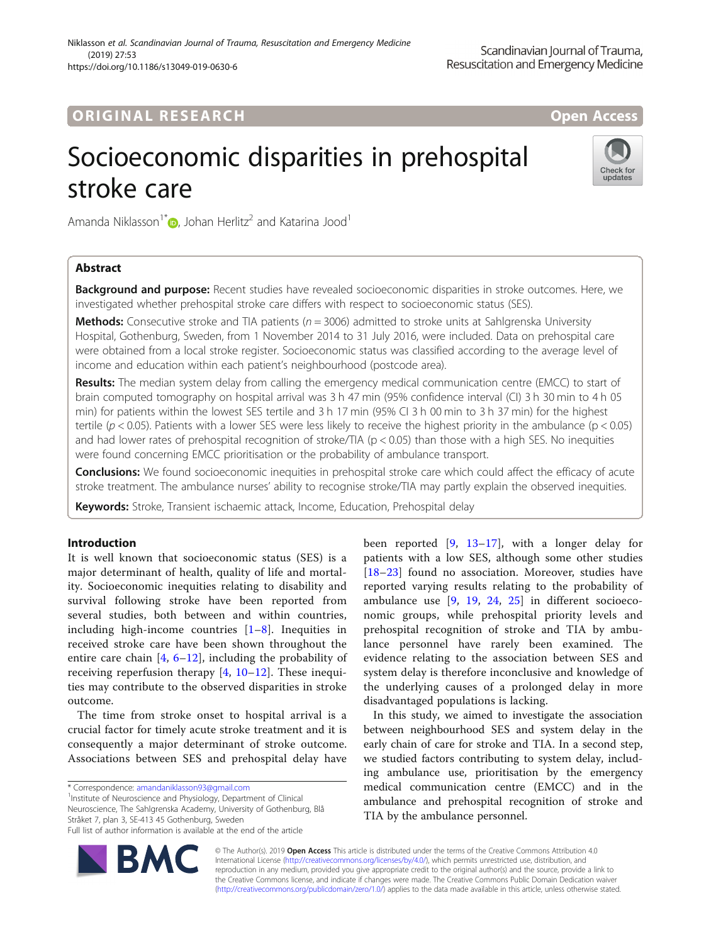## **ORIGINAL RESEARCH And Access** open Access

# Socioeconomic disparities in prehospital stroke care



Amanda Niklasson<sup>1[\\*](http://orcid.org/0000-0002-4922-3403)</sup>  $\odot$ , Johan Herlitz<sup>2</sup> and Katarina Jood<sup>1</sup>

## Abstract

Background and purpose: Recent studies have revealed socioeconomic disparities in stroke outcomes. Here, we investigated whether prehospital stroke care differs with respect to socioeconomic status (SES).

**Methods:** Consecutive stroke and TIA patients ( $n = 3006$ ) admitted to stroke units at Sahlgrenska University Hospital, Gothenburg, Sweden, from 1 November 2014 to 31 July 2016, were included. Data on prehospital care were obtained from a local stroke register. Socioeconomic status was classified according to the average level of income and education within each patient's neighbourhood (postcode area).

Results: The median system delay from calling the emergency medical communication centre (EMCC) to start of brain computed tomography on hospital arrival was 3 h 47 min (95% confidence interval (CI) 3 h 30 min to 4 h 05 min) for patients within the lowest SES tertile and 3 h 17 min (95% CI 3 h 00 min to 3 h 37 min) for the highest tertile ( $p < 0.05$ ). Patients with a lower SES were less likely to receive the highest priority in the ambulance ( $p < 0.05$ ) and had lower rates of prehospital recognition of stroke/TIA ( $p < 0.05$ ) than those with a high SES. No inequities were found concerning EMCC prioritisation or the probability of ambulance transport.

**Conclusions:** We found socioeconomic inequities in prehospital stroke care which could affect the efficacy of acute stroke treatment. The ambulance nurses' ability to recognise stroke/TIA may partly explain the observed inequities.

Keywords: Stroke, Transient ischaemic attack, Income, Education, Prehospital delay

## Introduction

It is well known that socioeconomic status (SES) is a major determinant of health, quality of life and mortality. Socioeconomic inequities relating to disability and survival following stroke have been reported from several studies, both between and within countries, including high-income countries  $[1-8]$  $[1-8]$  $[1-8]$  $[1-8]$  $[1-8]$ . Inequities in received stroke care have been shown throughout the entire care chain  $[4, 6-12]$  $[4, 6-12]$  $[4, 6-12]$  $[4, 6-12]$  $[4, 6-12]$  $[4, 6-12]$ , including the probability of receiving reperfusion therapy  $[4, 10-12]$  $[4, 10-12]$  $[4, 10-12]$  $[4, 10-12]$  $[4, 10-12]$  $[4, 10-12]$ . These inequities may contribute to the observed disparities in stroke outcome.

The time from stroke onset to hospital arrival is a crucial factor for timely acute stroke treatment and it is consequently a major determinant of stroke outcome. Associations between SES and prehospital delay have

\* Correspondence: [amandaniklasson93@gmail.com](mailto:amandaniklasson93@gmail.com) <sup>1</sup>

<sup>1</sup> Institute of Neuroscience and Physiology, Department of Clinical Neuroscience, The Sahlgrenska Academy, University of Gothenburg, Blå Stråket 7, plan 3, SE-413 45 Gothenburg, Sweden Full list of author information is available at the end of the article

been reported  $[9, 13-17]$  $[9, 13-17]$  $[9, 13-17]$  $[9, 13-17]$  $[9, 13-17]$  $[9, 13-17]$ , with a longer delay for patients with a low SES, although some other studies [[18](#page-7-0)–[23\]](#page-8-0) found no association. Moreover, studies have reported varying results relating to the probability of ambulance use [[9,](#page-7-0) [19](#page-7-0), [24](#page-8-0), [25\]](#page-8-0) in different socioeconomic groups, while prehospital priority levels and prehospital recognition of stroke and TIA by ambulance personnel have rarely been examined. The evidence relating to the association between SES and system delay is therefore inconclusive and knowledge of the underlying causes of a prolonged delay in more disadvantaged populations is lacking.

In this study, we aimed to investigate the association between neighbourhood SES and system delay in the early chain of care for stroke and TIA. In a second step, we studied factors contributing to system delay, including ambulance use, prioritisation by the emergency medical communication centre (EMCC) and in the ambulance and prehospital recognition of stroke and TIA by the ambulance personnel.



© The Author(s). 2019 **Open Access** This article is distributed under the terms of the Creative Commons Attribution 4.0 International License [\(http://creativecommons.org/licenses/by/4.0/](http://creativecommons.org/licenses/by/4.0/)), which permits unrestricted use, distribution, and reproduction in any medium, provided you give appropriate credit to the original author(s) and the source, provide a link to the Creative Commons license, and indicate if changes were made. The Creative Commons Public Domain Dedication waiver [\(http://creativecommons.org/publicdomain/zero/1.0/](http://creativecommons.org/publicdomain/zero/1.0/)) applies to the data made available in this article, unless otherwise stated.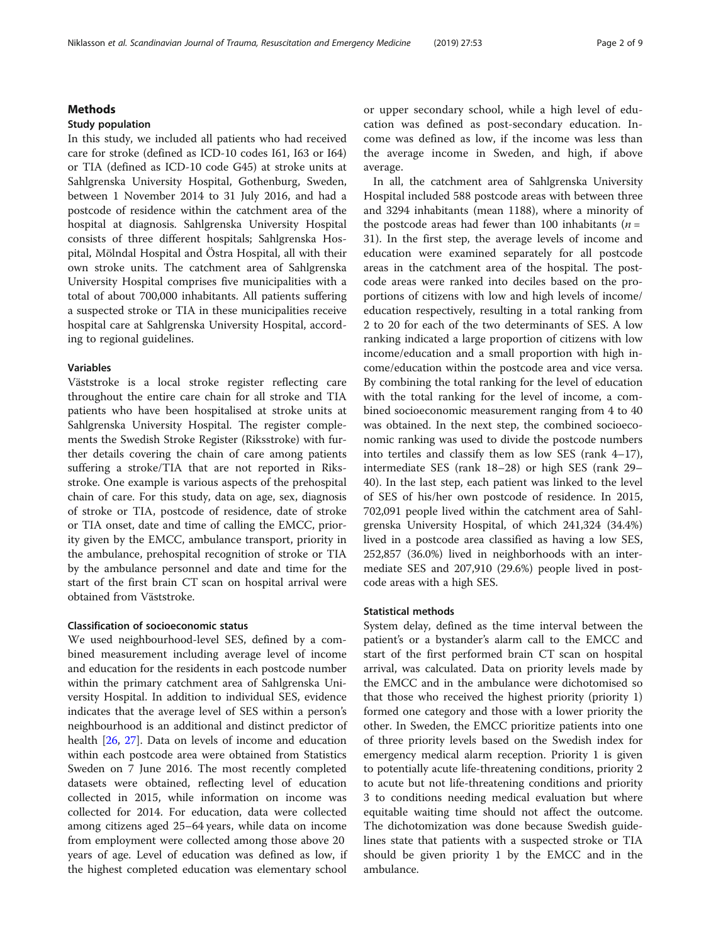## Methods

#### Study population

In this study, we included all patients who had received care for stroke (defined as ICD-10 codes I61, I63 or I64) or TIA (defined as ICD-10 code G45) at stroke units at Sahlgrenska University Hospital, Gothenburg, Sweden, between 1 November 2014 to 31 July 2016, and had a postcode of residence within the catchment area of the hospital at diagnosis. Sahlgrenska University Hospital consists of three different hospitals; Sahlgrenska Hospital, Mölndal Hospital and Östra Hospital, all with their own stroke units. The catchment area of Sahlgrenska University Hospital comprises five municipalities with a total of about 700,000 inhabitants. All patients suffering a suspected stroke or TIA in these municipalities receive hospital care at Sahlgrenska University Hospital, according to regional guidelines.

### Variables

Väststroke is a local stroke register reflecting care throughout the entire care chain for all stroke and TIA patients who have been hospitalised at stroke units at Sahlgrenska University Hospital. The register complements the Swedish Stroke Register (Riksstroke) with further details covering the chain of care among patients suffering a stroke/TIA that are not reported in Riksstroke. One example is various aspects of the prehospital chain of care. For this study, data on age, sex, diagnosis of stroke or TIA, postcode of residence, date of stroke or TIA onset, date and time of calling the EMCC, priority given by the EMCC, ambulance transport, priority in the ambulance, prehospital recognition of stroke or TIA by the ambulance personnel and date and time for the start of the first brain CT scan on hospital arrival were obtained from Väststroke.

## Classification of socioeconomic status

We used neighbourhood-level SES, defined by a combined measurement including average level of income and education for the residents in each postcode number within the primary catchment area of Sahlgrenska University Hospital. In addition to individual SES, evidence indicates that the average level of SES within a person's neighbourhood is an additional and distinct predictor of health [[26,](#page-8-0) [27](#page-8-0)]. Data on levels of income and education within each postcode area were obtained from Statistics Sweden on 7 June 2016. The most recently completed datasets were obtained, reflecting level of education collected in 2015, while information on income was collected for 2014. For education, data were collected among citizens aged 25–64 years, while data on income from employment were collected among those above 20 years of age. Level of education was defined as low, if the highest completed education was elementary school or upper secondary school, while a high level of education was defined as post-secondary education. Income was defined as low, if the income was less than the average income in Sweden, and high, if above average.

In all, the catchment area of Sahlgrenska University Hospital included 588 postcode areas with between three and 3294 inhabitants (mean 1188), where a minority of the postcode areas had fewer than 100 inhabitants ( $n =$ 31). In the first step, the average levels of income and education were examined separately for all postcode areas in the catchment area of the hospital. The postcode areas were ranked into deciles based on the proportions of citizens with low and high levels of income/ education respectively, resulting in a total ranking from 2 to 20 for each of the two determinants of SES. A low ranking indicated a large proportion of citizens with low income/education and a small proportion with high income/education within the postcode area and vice versa. By combining the total ranking for the level of education with the total ranking for the level of income, a combined socioeconomic measurement ranging from 4 to 40 was obtained. In the next step, the combined socioeconomic ranking was used to divide the postcode numbers into tertiles and classify them as low SES (rank 4–17), intermediate SES (rank 18–28) or high SES (rank 29– 40). In the last step, each patient was linked to the level of SES of his/her own postcode of residence. In 2015, 702,091 people lived within the catchment area of Sahlgrenska University Hospital, of which 241,324 (34.4%) lived in a postcode area classified as having a low SES, 252,857 (36.0%) lived in neighborhoods with an intermediate SES and 207,910 (29.6%) people lived in postcode areas with a high SES.

## Statistical methods

System delay, defined as the time interval between the patient's or a bystander's alarm call to the EMCC and start of the first performed brain CT scan on hospital arrival, was calculated. Data on priority levels made by the EMCC and in the ambulance were dichotomised so that those who received the highest priority (priority 1) formed one category and those with a lower priority the other. In Sweden, the EMCC prioritize patients into one of three priority levels based on the Swedish index for emergency medical alarm reception. Priority 1 is given to potentially acute life-threatening conditions, priority 2 to acute but not life-threatening conditions and priority 3 to conditions needing medical evaluation but where equitable waiting time should not affect the outcome. The dichotomization was done because Swedish guidelines state that patients with a suspected stroke or TIA should be given priority 1 by the EMCC and in the ambulance.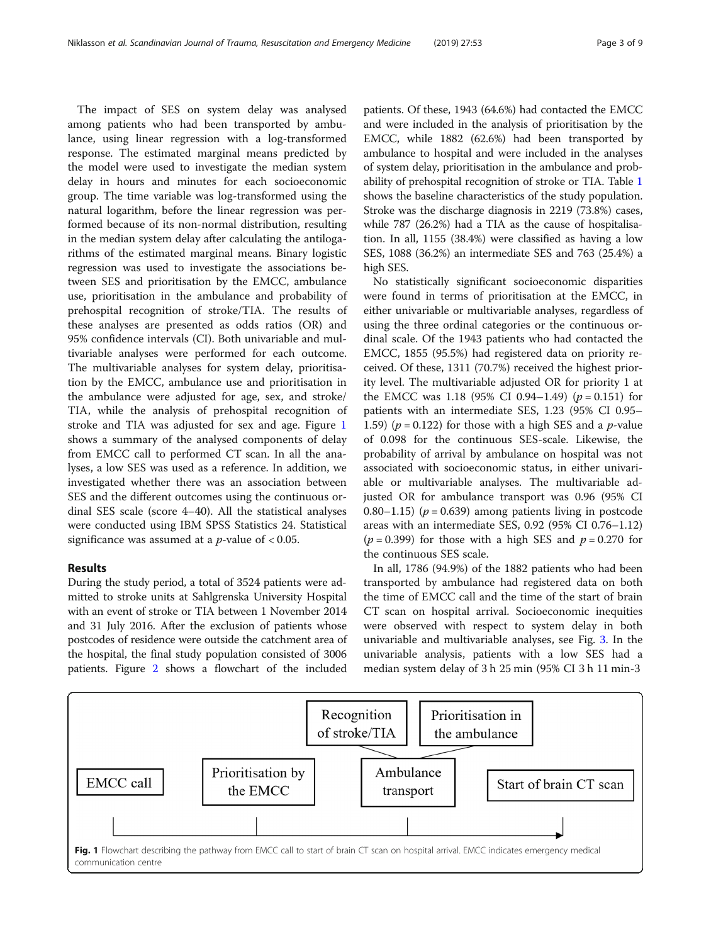The impact of SES on system delay was analysed among patients who had been transported by ambulance, using linear regression with a log-transformed response. The estimated marginal means predicted by the model were used to investigate the median system delay in hours and minutes for each socioeconomic group. The time variable was log-transformed using the natural logarithm, before the linear regression was performed because of its non-normal distribution, resulting in the median system delay after calculating the antilogarithms of the estimated marginal means. Binary logistic regression was used to investigate the associations between SES and prioritisation by the EMCC, ambulance use, prioritisation in the ambulance and probability of prehospital recognition of stroke/TIA. The results of these analyses are presented as odds ratios (OR) and 95% confidence intervals (CI). Both univariable and multivariable analyses were performed for each outcome. The multivariable analyses for system delay, prioritisation by the EMCC, ambulance use and prioritisation in the ambulance were adjusted for age, sex, and stroke/ TIA, while the analysis of prehospital recognition of stroke and TIA was adjusted for sex and age. Figure 1 shows a summary of the analysed components of delay from EMCC call to performed CT scan. In all the analyses, a low SES was used as a reference. In addition, we investigated whether there was an association between SES and the different outcomes using the continuous ordinal SES scale (score 4–40). All the statistical analyses were conducted using IBM SPSS Statistics 24. Statistical significance was assumed at a  $p$ -value of < 0.05.

## Results

During the study period, a total of 3524 patients were admitted to stroke units at Sahlgrenska University Hospital with an event of stroke or TIA between 1 November 2014 and 31 July 2016. After the exclusion of patients whose postcodes of residence were outside the catchment area of the hospital, the final study population consisted of 3006 patients. Figure [2](#page-3-0) shows a flowchart of the included patients. Of these, 1943 (64.6%) had contacted the EMCC and were included in the analysis of prioritisation by the EMCC, while 1882 (62.6%) had been transported by ambulance to hospital and were included in the analyses of system delay, prioritisation in the ambulance and probability of prehospital recognition of stroke or TIA. Table [1](#page-3-0) shows the baseline characteristics of the study population. Stroke was the discharge diagnosis in 2219 (73.8%) cases, while 787 (26.2%) had a TIA as the cause of hospitalisation. In all, 1155 (38.4%) were classified as having a low SES, 1088 (36.2%) an intermediate SES and 763 (25.4%) a high SES.

No statistically significant socioeconomic disparities were found in terms of prioritisation at the EMCC, in either univariable or multivariable analyses, regardless of using the three ordinal categories or the continuous ordinal scale. Of the 1943 patients who had contacted the EMCC, 1855 (95.5%) had registered data on priority received. Of these, 1311 (70.7%) received the highest priority level. The multivariable adjusted OR for priority 1 at the EMCC was 1.18 (95% CI 0.94–1.49) ( $p = 0.151$ ) for patients with an intermediate SES, 1.23 (95% CI 0.95– 1.59) ( $p = 0.122$ ) for those with a high SES and a  $p$ -value of 0.098 for the continuous SES-scale. Likewise, the probability of arrival by ambulance on hospital was not associated with socioeconomic status, in either univariable or multivariable analyses. The multivariable adjusted OR for ambulance transport was 0.96 (95% CI 0.80–1.15) ( $p = 0.639$ ) among patients living in postcode areas with an intermediate SES, 0.92 (95% CI 0.76–1.12)  $(p = 0.399)$  for those with a high SES and  $p = 0.270$  for the continuous SES scale.

In all, 1786 (94.9%) of the 1882 patients who had been transported by ambulance had registered data on both the time of EMCC call and the time of the start of brain CT scan on hospital arrival. Socioeconomic inequities were observed with respect to system delay in both univariable and multivariable analyses, see Fig. [3.](#page-4-0) In the univariable analysis, patients with a low SES had a median system delay of 3 h 25 min (95% CI 3 h 11 min-3

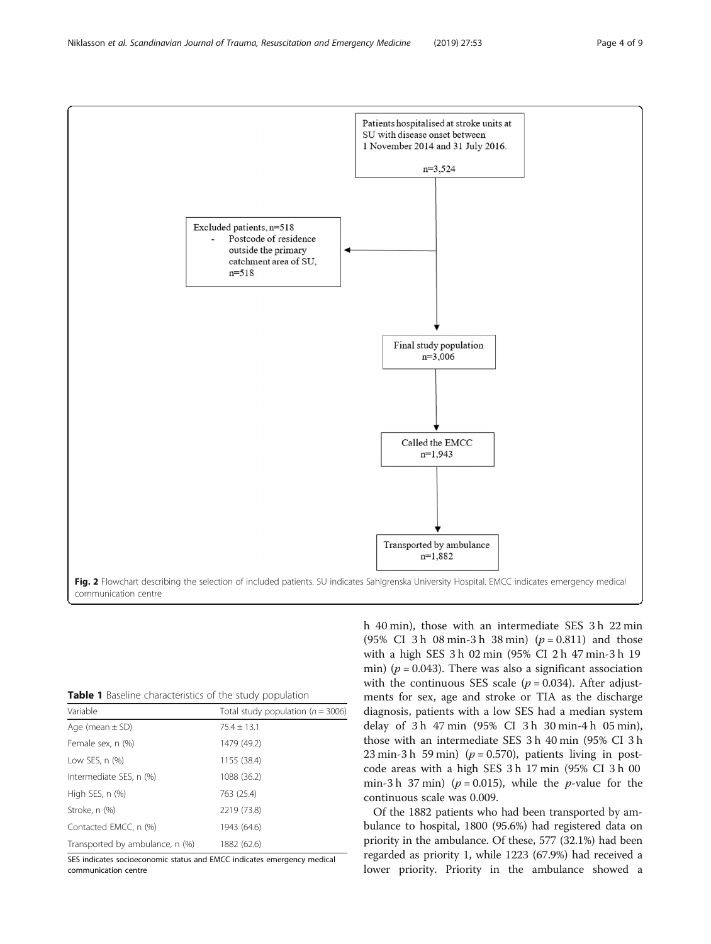<span id="page-3-0"></span>

| <b>Table 1</b> Baseline characteristics of the study population |  |
|-----------------------------------------------------------------|--|
|-----------------------------------------------------------------|--|

| Variable                        | Total study population ( $n = 3006$ ) |  |  |
|---------------------------------|---------------------------------------|--|--|
| Age (mean $\pm$ SD)             | $75.4 \pm 13.1$                       |  |  |
| Female sex, n (%)               | 1479 (49.2)                           |  |  |
| Low SES, $n$ $(\%)$             | 1155 (38.4)                           |  |  |
| Intermediate SES, n (%)         | 1088 (36.2)                           |  |  |
| High SES, n (%)                 | 763 (25.4)                            |  |  |
| Stroke, n (%)                   | 2219 (73.8)                           |  |  |
| Contacted EMCC, n (%)           | 1943 (64.6)                           |  |  |
| Transported by ambulance, n (%) | 1882 (62.6)                           |  |  |

SES indicates socioeconomic status and EMCC indicates emergency medical communication centre

h 40 min), those with an intermediate SES 3 h 22 min (95% CI 3 h 08 min-3 h 38 min)  $(p = 0.811)$  and those with a high SES 3 h 02 min (95% CI 2 h 47 min-3 h 19 min) ( $p = 0.043$ ). There was also a significant association with the continuous SES scale ( $p = 0.034$ ). After adjustments for sex, age and stroke or TIA as the discharge diagnosis, patients with a low SES had a median system delay of 3 h 47 min (95% CI 3 h 30 min-4 h 05 min), those with an intermediate SES 3 h 40 min (95% CI 3 h 23 min-3 h 59 min) ( $p = 0.570$ ), patients living in postcode areas with a high SES 3 h 17 min (95% CI 3 h 00 min-3 h 37 min) ( $p = 0.015$ ), while the p-value for the continuous scale was 0.009.

Of the 1882 patients who had been transported by ambulance to hospital, 1800 (95.6%) had registered data on priority in the ambulance. Of these, 577 (32.1%) had been regarded as priority 1, while 1223 (67.9%) had received a lower priority. Priority in the ambulance showed a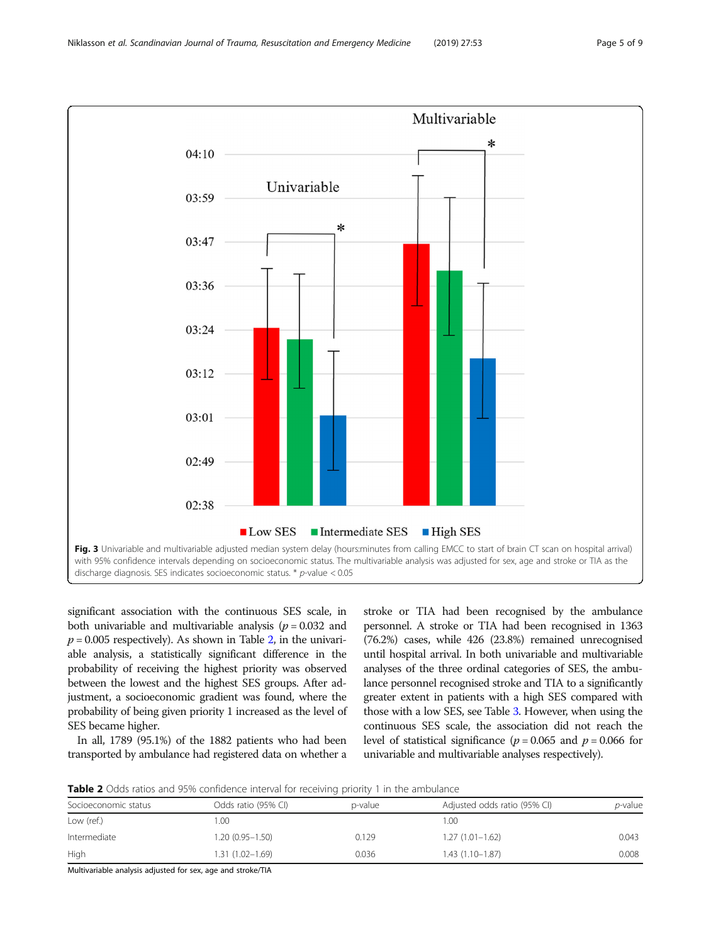<span id="page-4-0"></span>

significant association with the continuous SES scale, in both univariable and multivariable analysis ( $p = 0.032$  and  $p = 0.005$  respectively). As shown in Table 2, in the univariable analysis, a statistically significant difference in the probability of receiving the highest priority was observed between the lowest and the highest SES groups. After adjustment, a socioeconomic gradient was found, where the probability of being given priority 1 increased as the level of SES became higher.

In all, 1789 (95.1%) of the 1882 patients who had been transported by ambulance had registered data on whether a

stroke or TIA had been recognised by the ambulance personnel. A stroke or TIA had been recognised in 1363 (76.2%) cases, while 426 (23.8%) remained unrecognised until hospital arrival. In both univariable and multivariable analyses of the three ordinal categories of SES, the ambulance personnel recognised stroke and TIA to a significantly greater extent in patients with a high SES compared with those with a low SES, see Table [3.](#page-5-0) However, when using the continuous SES scale, the association did not reach the level of statistical significance ( $p = 0.065$  and  $p = 0.066$  for univariable and multivariable analyses respectively).

**Table 2** Odds ratios and 95% confidence interval for receiving priority 1 in the ambulance

| Socioeconomic status | Odds ratio (95% CI) | p-value | Adjusted odds ratio (95% CI) | <i>p</i> -value |  |  |  |
|----------------------|---------------------|---------|------------------------------|-----------------|--|--|--|
| Low (ref.)           | .00                 |         | 1.00                         |                 |  |  |  |
| Intermediate         | 1.20 (0.95-1.50)    | 0.129   | $1.27(1.01 - 1.62)$          | 0.043           |  |  |  |
| High                 | $1.31(1.02 - 1.69)$ | 0.036   | $1.43(1.10-1.87)$            | 0.008           |  |  |  |

Multivariable analysis adjusted for sex, age and stroke/TIA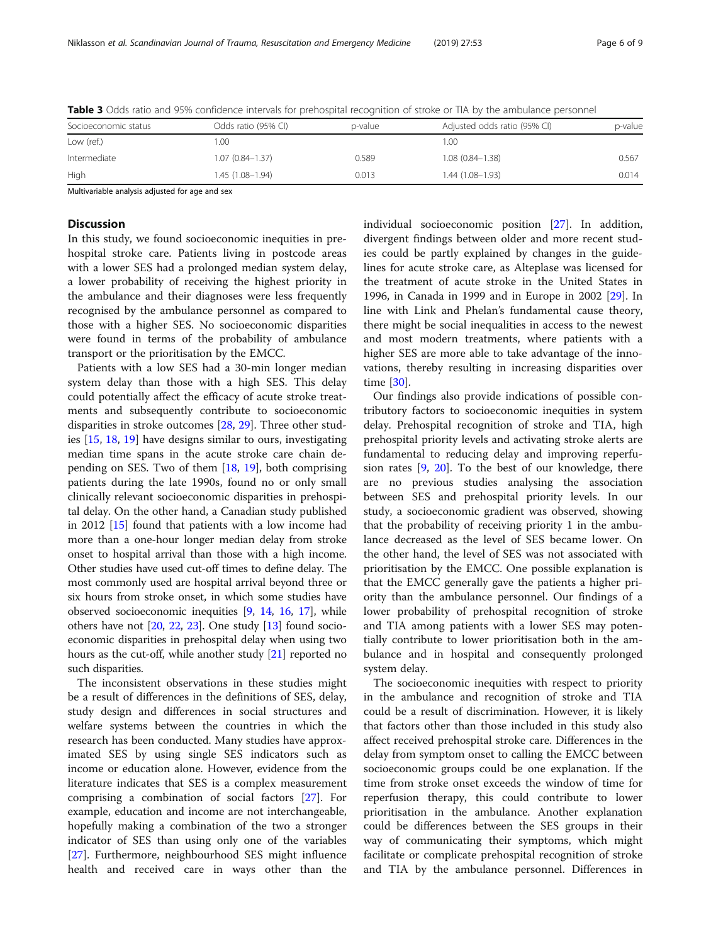| Socioeconomic status | Odds ratio (95% CI) | p-value | Adjusted odds ratio (95% CI) | p-value |
|----------------------|---------------------|---------|------------------------------|---------|
| Low (ref.)           | .00                 |         | 1.00                         |         |
| Intermediate         | $1.07(0.84 - 1.37)$ | 0.589   | $1.08(0.84 - 1.38)$          | 0.567   |
| High                 | $1.45(1.08-1.94)$   | 0.013   | $1.44(1.08 - 1.93)$          | 0.014   |

<span id="page-5-0"></span>Table 3 Odds ratio and 95% confidence intervals for prehospital recognition of stroke or TIA by the ambulance personnel

Multivariable analysis adjusted for age and sex

## **Discussion**

In this study, we found socioeconomic inequities in prehospital stroke care. Patients living in postcode areas with a lower SES had a prolonged median system delay, a lower probability of receiving the highest priority in the ambulance and their diagnoses were less frequently recognised by the ambulance personnel as compared to those with a higher SES. No socioeconomic disparities were found in terms of the probability of ambulance transport or the prioritisation by the EMCC.

Patients with a low SES had a 30-min longer median system delay than those with a high SES. This delay could potentially affect the efficacy of acute stroke treatments and subsequently contribute to socioeconomic disparities in stroke outcomes [\[28,](#page-8-0) [29\]](#page-8-0). Three other studies [[15](#page-7-0), [18](#page-7-0), [19](#page-7-0)] have designs similar to ours, investigating median time spans in the acute stroke care chain depending on SES. Two of them [[18,](#page-7-0) [19](#page-7-0)], both comprising patients during the late 1990s, found no or only small clinically relevant socioeconomic disparities in prehospital delay. On the other hand, a Canadian study published in 2012 [[15](#page-7-0)] found that patients with a low income had more than a one-hour longer median delay from stroke onset to hospital arrival than those with a high income. Other studies have used cut-off times to define delay. The most commonly used are hospital arrival beyond three or six hours from stroke onset, in which some studies have observed socioeconomic inequities [[9](#page-7-0), [14,](#page-7-0) [16,](#page-7-0) [17\]](#page-7-0), while others have not [\[20](#page-7-0), [22](#page-7-0), [23](#page-8-0)]. One study [\[13](#page-7-0)] found socioeconomic disparities in prehospital delay when using two hours as the cut-off, while another study [\[21\]](#page-7-0) reported no such disparities.

The inconsistent observations in these studies might be a result of differences in the definitions of SES, delay, study design and differences in social structures and welfare systems between the countries in which the research has been conducted. Many studies have approximated SES by using single SES indicators such as income or education alone. However, evidence from the literature indicates that SES is a complex measurement comprising a combination of social factors [[27](#page-8-0)]. For example, education and income are not interchangeable, hopefully making a combination of the two a stronger indicator of SES than using only one of the variables [[27\]](#page-8-0). Furthermore, neighbourhood SES might influence health and received care in ways other than the individual socioeconomic position [\[27\]](#page-8-0). In addition, divergent findings between older and more recent studies could be partly explained by changes in the guidelines for acute stroke care, as Alteplase was licensed for the treatment of acute stroke in the United States in 1996, in Canada in 1999 and in Europe in 2002 [\[29](#page-8-0)]. In line with Link and Phelan's fundamental cause theory, there might be social inequalities in access to the newest and most modern treatments, where patients with a higher SES are more able to take advantage of the innovations, thereby resulting in increasing disparities over time [\[30\]](#page-8-0).

Our findings also provide indications of possible contributory factors to socioeconomic inequities in system delay. Prehospital recognition of stroke and TIA, high prehospital priority levels and activating stroke alerts are fundamental to reducing delay and improving reperfusion rates  $[9, 20]$  $[9, 20]$  $[9, 20]$  $[9, 20]$ . To the best of our knowledge, there are no previous studies analysing the association between SES and prehospital priority levels. In our study, a socioeconomic gradient was observed, showing that the probability of receiving priority 1 in the ambulance decreased as the level of SES became lower. On the other hand, the level of SES was not associated with prioritisation by the EMCC. One possible explanation is that the EMCC generally gave the patients a higher priority than the ambulance personnel. Our findings of a lower probability of prehospital recognition of stroke and TIA among patients with a lower SES may potentially contribute to lower prioritisation both in the ambulance and in hospital and consequently prolonged system delay.

The socioeconomic inequities with respect to priority in the ambulance and recognition of stroke and TIA could be a result of discrimination. However, it is likely that factors other than those included in this study also affect received prehospital stroke care. Differences in the delay from symptom onset to calling the EMCC between socioeconomic groups could be one explanation. If the time from stroke onset exceeds the window of time for reperfusion therapy, this could contribute to lower prioritisation in the ambulance. Another explanation could be differences between the SES groups in their way of communicating their symptoms, which might facilitate or complicate prehospital recognition of stroke and TIA by the ambulance personnel. Differences in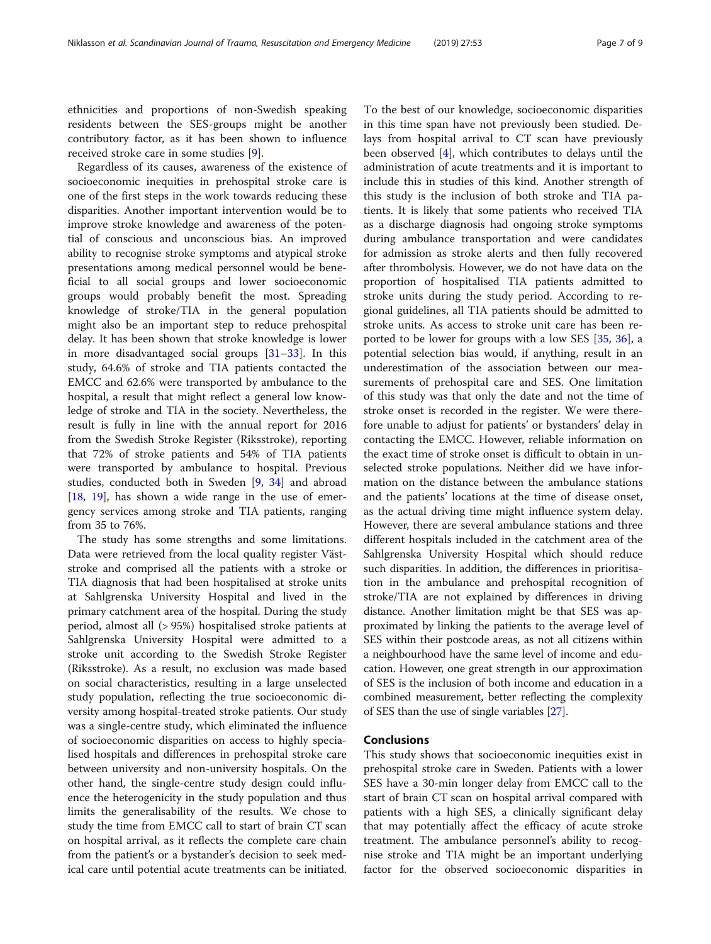ethnicities and proportions of non-Swedish speaking residents between the SES-groups might be another contributory factor, as it has been shown to influence received stroke care in some studies [[9\]](#page-7-0).

Regardless of its causes, awareness of the existence of socioeconomic inequities in prehospital stroke care is one of the first steps in the work towards reducing these disparities. Another important intervention would be to improve stroke knowledge and awareness of the potential of conscious and unconscious bias. An improved ability to recognise stroke symptoms and atypical stroke presentations among medical personnel would be beneficial to all social groups and lower socioeconomic groups would probably benefit the most. Spreading knowledge of stroke/TIA in the general population might also be an important step to reduce prehospital delay. It has been shown that stroke knowledge is lower in more disadvantaged social groups  $[31-33]$  $[31-33]$  $[31-33]$  $[31-33]$ . In this study, 64.6% of stroke and TIA patients contacted the EMCC and 62.6% were transported by ambulance to the hospital, a result that might reflect a general low knowledge of stroke and TIA in the society. Nevertheless, the result is fully in line with the annual report for 2016 from the Swedish Stroke Register (Riksstroke), reporting that 72% of stroke patients and 54% of TIA patients were transported by ambulance to hospital. Previous studies, conducted both in Sweden [[9,](#page-7-0) [34](#page-8-0)] and abroad [[18,](#page-7-0) [19](#page-7-0)], has shown a wide range in the use of emergency services among stroke and TIA patients, ranging from 35 to 76%.

The study has some strengths and some limitations. Data were retrieved from the local quality register Väststroke and comprised all the patients with a stroke or TIA diagnosis that had been hospitalised at stroke units at Sahlgrenska University Hospital and lived in the primary catchment area of the hospital. During the study period, almost all (> 95%) hospitalised stroke patients at Sahlgrenska University Hospital were admitted to a stroke unit according to the Swedish Stroke Register (Riksstroke). As a result, no exclusion was made based on social characteristics, resulting in a large unselected study population, reflecting the true socioeconomic diversity among hospital-treated stroke patients. Our study was a single-centre study, which eliminated the influence of socioeconomic disparities on access to highly specialised hospitals and differences in prehospital stroke care between university and non-university hospitals. On the other hand, the single-centre study design could influence the heterogenicity in the study population and thus limits the generalisability of the results. We chose to study the time from EMCC call to start of brain CT scan on hospital arrival, as it reflects the complete care chain from the patient's or a bystander's decision to seek medical care until potential acute treatments can be initiated. To the best of our knowledge, socioeconomic disparities in this time span have not previously been studied. Delays from hospital arrival to CT scan have previously been observed [[4\]](#page-7-0), which contributes to delays until the administration of acute treatments and it is important to include this in studies of this kind. Another strength of this study is the inclusion of both stroke and TIA patients. It is likely that some patients who received TIA as a discharge diagnosis had ongoing stroke symptoms during ambulance transportation and were candidates for admission as stroke alerts and then fully recovered after thrombolysis. However, we do not have data on the proportion of hospitalised TIA patients admitted to stroke units during the study period. According to regional guidelines, all TIA patients should be admitted to stroke units. As access to stroke unit care has been reported to be lower for groups with a low SES [\[35](#page-8-0), [36\]](#page-8-0), a potential selection bias would, if anything, result in an underestimation of the association between our measurements of prehospital care and SES. One limitation of this study was that only the date and not the time of stroke onset is recorded in the register. We were therefore unable to adjust for patients' or bystanders' delay in contacting the EMCC. However, reliable information on the exact time of stroke onset is difficult to obtain in unselected stroke populations. Neither did we have information on the distance between the ambulance stations and the patients' locations at the time of disease onset, as the actual driving time might influence system delay. However, there are several ambulance stations and three different hospitals included in the catchment area of the Sahlgrenska University Hospital which should reduce such disparities. In addition, the differences in prioritisation in the ambulance and prehospital recognition of stroke/TIA are not explained by differences in driving distance. Another limitation might be that SES was approximated by linking the patients to the average level of SES within their postcode areas, as not all citizens within a neighbourhood have the same level of income and education. However, one great strength in our approximation of SES is the inclusion of both income and education in a combined measurement, better reflecting the complexity of SES than the use of single variables [\[27\]](#page-8-0).

## Conclusions

This study shows that socioeconomic inequities exist in prehospital stroke care in Sweden. Patients with a lower SES have a 30-min longer delay from EMCC call to the start of brain CT scan on hospital arrival compared with patients with a high SES, a clinically significant delay that may potentially affect the efficacy of acute stroke treatment. The ambulance personnel's ability to recognise stroke and TIA might be an important underlying factor for the observed socioeconomic disparities in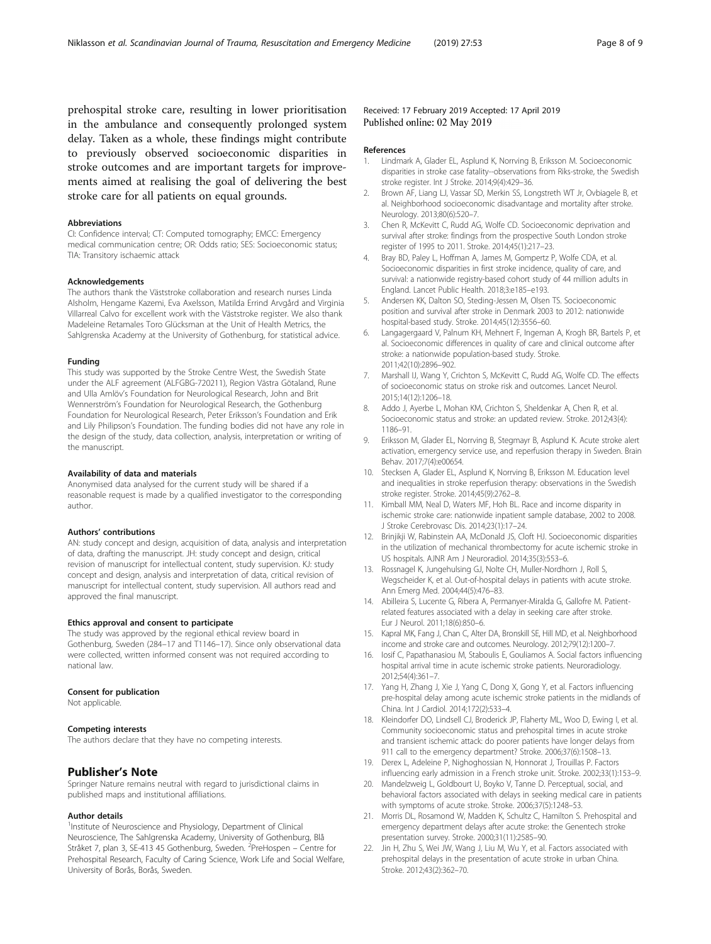<span id="page-7-0"></span>prehospital stroke care, resulting in lower prioritisation in the ambulance and consequently prolonged system delay. Taken as a whole, these findings might contribute to previously observed socioeconomic disparities in stroke outcomes and are important targets for improvements aimed at realising the goal of delivering the best stroke care for all patients on equal grounds.

#### Abbreviations

CI: Confidence interval; CT: Computed tomography; EMCC: Emergency medical communication centre; OR: Odds ratio; SES: Socioeconomic status; TIA: Transitory ischaemic attack

#### Acknowledgements

The authors thank the Väststroke collaboration and research nurses Linda Alsholm, Hengame Kazemi, Eva Axelsson, Matilda Errind Arvgård and Virginia Villarreal Calvo for excellent work with the Väststroke register. We also thank Madeleine Retamales Toro Glücksman at the Unit of Health Metrics, the Sahlgrenska Academy at the University of Gothenburg, for statistical advice.

#### Funding

This study was supported by the Stroke Centre West, the Swedish State under the ALF agreement (ALFGBG-720211), Region Västra Götaland, Rune and Ulla Amlöv's Foundation for Neurological Research, John and Brit Wennerström's Foundation for Neurological Research, the Gothenburg Foundation for Neurological Research, Peter Eriksson's Foundation and Erik and Lily Philipson's Foundation. The funding bodies did not have any role in the design of the study, data collection, analysis, interpretation or writing of the manuscript.

#### Availability of data and materials

Anonymised data analysed for the current study will be shared if a reasonable request is made by a qualified investigator to the corresponding author.

#### Authors' contributions

AN: study concept and design, acquisition of data, analysis and interpretation of data, drafting the manuscript. JH: study concept and design, critical revision of manuscript for intellectual content, study supervision. KJ: study concept and design, analysis and interpretation of data, critical revision of manuscript for intellectual content, study supervision. All authors read and approved the final manuscript.

#### Ethics approval and consent to participate

The study was approved by the regional ethical review board in Gothenburg, Sweden (284–17 and T1146–17). Since only observational data were collected, written informed consent was not required according to national law.

#### Consent for publication

Not applicable.

#### Competing interests

The authors declare that they have no competing interests.

## Publisher's Note

Springer Nature remains neutral with regard to jurisdictional claims in published maps and institutional affiliations.

#### Author details

<sup>1</sup>Institute of Neuroscience and Physiology, Department of Clinical Neuroscience, The Sahlgrenska Academy, University of Gothenburg, Blå Stråket 7, plan 3, SE-413 45 Gothenburg, Sweden. <sup>2</sup>PreHospen – Centre for Prehospital Research, Faculty of Caring Science, Work Life and Social Welfare, University of Borås, Borås, Sweden.

#### Received: 17 February 2019 Accepted: 17 April 2019 Published online: 02 May 2019

#### References

- 1. Lindmark A, Glader EL, Asplund K, Norrving B, Eriksson M. Socioeconomic disparities in stroke case fatality--observations from Riks-stroke, the Swedish stroke register. Int J Stroke. 2014;9(4):429–36.
- 2. Brown AF, Liang LJ, Vassar SD, Merkin SS, Longstreth WT Jr, Ovbiagele B, et al. Neighborhood socioeconomic disadvantage and mortality after stroke. Neurology. 2013;80(6):520–7.
- 3. Chen R, McKevitt C, Rudd AG, Wolfe CD. Socioeconomic deprivation and survival after stroke: findings from the prospective South London stroke register of 1995 to 2011. Stroke. 2014;45(1):217–23.
- Bray BD, Paley L, Hoffman A, James M, Gompertz P, Wolfe CDA, et al. Socioeconomic disparities in first stroke incidence, quality of care, and survival: a nationwide registry-based cohort study of 44 million adults in England. Lancet Public Health. 2018;3:e185–e193.
- 5. Andersen KK, Dalton SO, Steding-Jessen M, Olsen TS. Socioeconomic position and survival after stroke in Denmark 2003 to 2012: nationwide hospital-based study. Stroke. 2014;45(12):3556–60.
- 6. Langagergaard V, Palnum KH, Mehnert F, Ingeman A, Krogh BR, Bartels P, et al. Socioeconomic differences in quality of care and clinical outcome after stroke: a nationwide population-based study. Stroke. 2011;42(10):2896–902.
- 7. Marshall IJ, Wang Y, Crichton S, McKevitt C, Rudd AG, Wolfe CD. The effects of socioeconomic status on stroke risk and outcomes. Lancet Neurol. 2015;14(12):1206–18.
- Addo J, Ayerbe L, Mohan KM, Crichton S, Sheldenkar A, Chen R, et al. Socioeconomic status and stroke: an updated review. Stroke. 2012;43(4): 1186–91.
- 9. Eriksson M, Glader EL, Norrving B, Stegmayr B, Asplund K. Acute stroke alert activation, emergency service use, and reperfusion therapy in Sweden. Brain Behav. 2017;7(4):e00654.
- 10. Stecksen A, Glader EL, Asplund K, Norrving B, Eriksson M. Education level and inequalities in stroke reperfusion therapy: observations in the Swedish stroke register. Stroke. 2014;45(9):2762–8.
- 11. Kimball MM, Neal D, Waters MF, Hoh BL. Race and income disparity in ischemic stroke care: nationwide inpatient sample database, 2002 to 2008. J Stroke Cerebrovasc Dis. 2014;23(1):17–24.
- 12. Brinjikji W, Rabinstein AA, McDonald JS, Cloft HJ. Socioeconomic disparities in the utilization of mechanical thrombectomy for acute ischemic stroke in US hospitals. AJNR Am J Neuroradiol. 2014;35(3):553–6.
- 13. Rossnagel K, Jungehulsing GJ, Nolte CH, Muller-Nordhorn J, Roll S, Wegscheider K, et al. Out-of-hospital delays in patients with acute stroke. Ann Emerg Med. 2004;44(5):476–83.
- 14. Abilleira S, Lucente G, Ribera A, Permanyer-Miralda G, Gallofre M. Patientrelated features associated with a delay in seeking care after stroke. Eur J Neurol. 2011;18(6):850–6.
- 15. Kapral MK, Fang J, Chan C, Alter DA, Bronskill SE, Hill MD, et al. Neighborhood income and stroke care and outcomes. Neurology. 2012;79(12):1200–7.
- 16. Iosif C, Papathanasiou M, Staboulis E, Gouliamos A. Social factors influencing hospital arrival time in acute ischemic stroke patients. Neuroradiology. 2012;54(4):361–7.
- 17. Yang H, Zhang J, Xie J, Yang C, Dong X, Gong Y, et al. Factors influencing pre-hospital delay among acute ischemic stroke patients in the midlands of China. Int J Cardiol. 2014;172(2):533–4.
- 18. Kleindorfer DO, Lindsell CJ, Broderick JP, Flaherty ML, Woo D, Ewing I, et al. Community socioeconomic status and prehospital times in acute stroke and transient ischemic attack: do poorer patients have longer delays from 911 call to the emergency department? Stroke. 2006;37(6):1508–13.
- 19. Derex L, Adeleine P, Nighoghossian N, Honnorat J, Trouillas P. Factors influencing early admission in a French stroke unit. Stroke. 2002;33(1):153–9.
- 20. Mandelzweig L, Goldbourt U, Boyko V, Tanne D. Perceptual, social, and behavioral factors associated with delays in seeking medical care in patients with symptoms of acute stroke. Stroke. 2006;37(5):1248–53.
- 21. Morris DL, Rosamond W, Madden K, Schultz C, Hamilton S. Prehospital and emergency department delays after acute stroke: the Genentech stroke presentation survey. Stroke. 2000;31(11):2585–90.
- 22. Jin H, Zhu S, Wei JW, Wang J, Liu M, Wu Y, et al. Factors associated with prehospital delays in the presentation of acute stroke in urban China. Stroke. 2012;43(2):362–70.